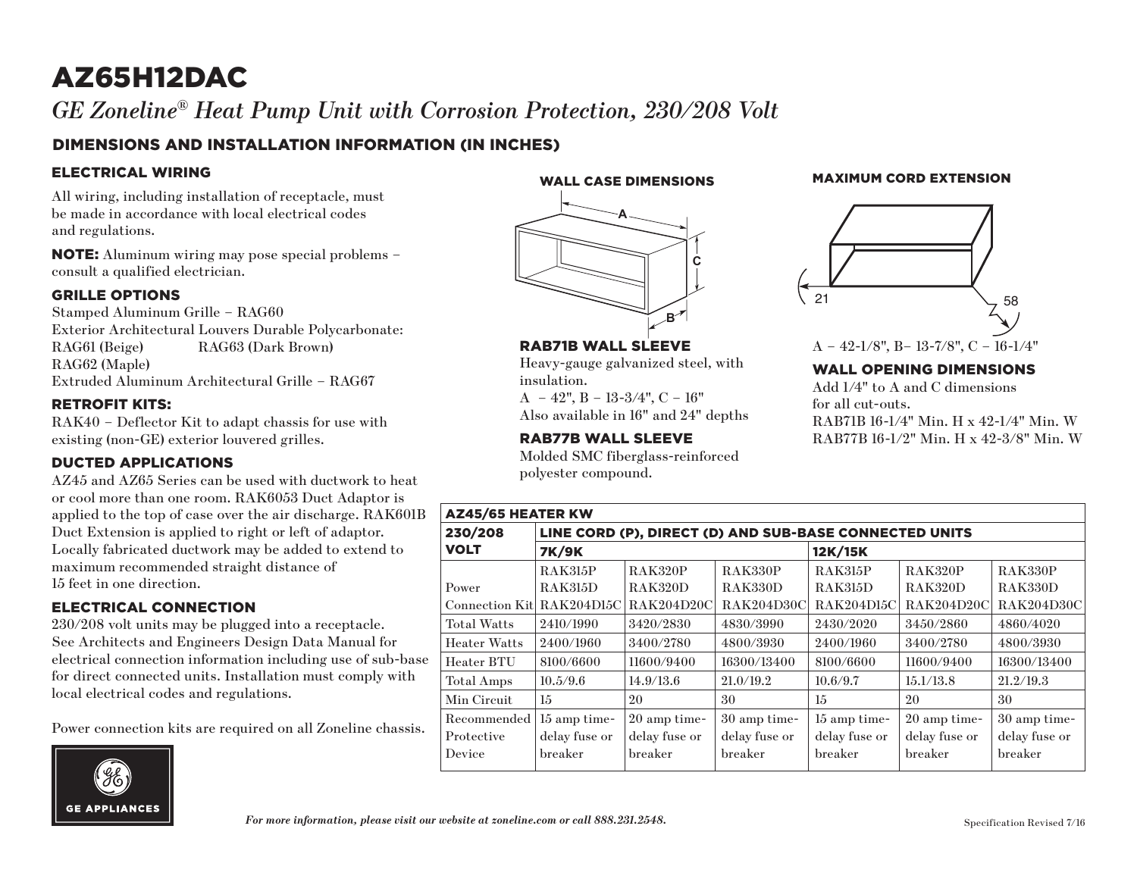# AZ65H12DAC

 $G\!E$  Zoneline® Heat Pump Unit with Corrosion Protection, 230/208 Volt

### DIMENSIONS AND INSTALLATION INFORMATION (IN INCHES)

#### ELECTRICAL WIRING

All wiring, including installation of receptacle, must be made in accordance with local electrical codes and regulations.

NOTE: Aluminum wiring may pose special problems – consult a qualified electrician.

#### GRILLE OPTIONS

Stamped Aluminum Grille – RAG60 Exterior Architectural Louvers Durable Polycarbonate: RAG61 (Beige) RAG63 (Dark Brown) RAG62 (Maple) Extruded Aluminum Architectural Grille – RAG67

#### RETROFIT KITS:

RAK40 – Deflector Kit to adapt chassis for use with existing (non-GE) exterior louvered grilles.

#### DUCTED APPLICATIONS

AZ45 and AZ65 Series can be used with ductwork to heat or cool more than one room. RAK6053 Duct Adaptor is applied to the top of case over the air discharge. RAK601B Duct Extension is applied to right or left of adaptor. Locally fabricated ductwork may be added to extend to maximum recommended straight distance of 15 feet in one direction.

#### ELECTRICAL CONNECTION

230/208 volt units may be plugged into a receptacle. See Architects and Engineers Design Data Manual for electrical connection information including use of sub-base for direct connected units. Installation must comply with local electrical codes and regulations.

Power connection kits are required on all Zoneline chassis.



WALL CASE DIMENSIONS



RAB71B WALL SLEEVE

 $A - 42$ ",  $B - 13-3/4$ ",  $C - 16$ " Also available in 16" and 24" depths

RAB77B WALL SLEEVE

insulation.

Heavy-gauge galvanized steel, with

Molded SMC fiberglass-reinforced

MAXIMUM CORD EXTENSION



#### WALL OPENING DIMENSIONS

Add 1/4" to A and C dimensions for all cut-outs. RAB71B 16-1/4" Min. H x 42-1/4" Min. W RAB77B 16-1/2" Min. H x 42-3/8" Min. W

| $1.101$ and the $0.111$ and $0.11$ and $0.111$ and $0.111$<br>polyester compound. |                                                     |             |           |                       |            |  |  |  |  |
|-----------------------------------------------------------------------------------|-----------------------------------------------------|-------------|-----------|-----------------------|------------|--|--|--|--|
| <b>AZ45/65 HEATER KW</b>                                                          |                                                     |             |           |                       |            |  |  |  |  |
| 230/208                                                                           | LINE CORD (P), DIRECT (D) AND SUB-BASE CONNECTED UP |             |           |                       |            |  |  |  |  |
| <b>VOLT</b>                                                                       | 12K/15K                                             |             |           |                       |            |  |  |  |  |
|                                                                                   | <b>RAK315P</b>                                      | RAK320P     | RAK330P   | RAK315P               | RAK32      |  |  |  |  |
| Power                                                                             | <b>RAK315D</b>                                      | RAK320D     | RAK330D   | RAK315D               | RAK32      |  |  |  |  |
| Connection Kitl RAK204D15C RAK204D20C                                             |                                                     |             |           | RAK204D30C RAK204D15C | RAK2       |  |  |  |  |
| $T_{\rm{c},1.5}$ $\rm{W}_{\rm{c},1.5}$                                            | 0.410/1000                                          | 9,490,79090 | 4090/9000 | 9490/9090             | 9.4 E(1.9) |  |  |  |  |

| 230/208             | LINE CORD (P), DIRECT (D) AND SUB-BASE CONNECTED UNITS |                |                |                   |                |               |  |  |  |
|---------------------|--------------------------------------------------------|----------------|----------------|-------------------|----------------|---------------|--|--|--|
| <b>VOLT</b>         | <b>7K/9K</b>                                           |                |                | 12K/15K           |                |               |  |  |  |
|                     | RAK315P                                                | <b>RAK320P</b> | <b>RAK330P</b> | RAK315P           | <b>RAK320P</b> | RAK330P       |  |  |  |
| Power               | RAK315D                                                | RAK320D        | RAK330D        | RAK315D           | RAK320D        | RAK330D       |  |  |  |
| Connection Kitl     | RAK204D15C                                             | RAK204D20C     | RAK204D30C     | <b>RAK204D15C</b> | RAK204D20C     | RAK204D30C    |  |  |  |
| <b>Total Watts</b>  | 2410/1990                                              | 3420/2830      | 4830/3990      | 2430/2020         | 3450/2860      | 4860/4020     |  |  |  |
| <b>Heater Watts</b> | 2400/1960                                              | 3400/2780      | 4800/3930      | 2400/1960         | 3400/2780      | 4800/3930     |  |  |  |
| Heater BTU          | 8100/6600                                              | 11600/9400     | 16300/13400    | 8100/6600         | 11600/9400     | 16300/13400   |  |  |  |
| Total Amps          | 10.5/9.6                                               | 14.9/13.6      | 21.0/19.2      | 10.6/9.7          | 15.1/13.8      | 21.2/19.3     |  |  |  |
| Min Circuit         | 15                                                     | 20             | 30             | $15\,$            | 20             | 30            |  |  |  |
| Recommended         | 15 amp time-                                           | 20 amp time-   | 30 amp time-   | 15 amp time-      | 20 amp time-   | 30 amp time-  |  |  |  |
| Protective          | delay fuse or                                          | delay fuse or  | delay fuse or  | delay fuse or     | delay fuse or  | delay fuse or |  |  |  |
| Device              | breaker                                                | breaker        | breaker        | breaker           | breaker        | breaker       |  |  |  |
|                     |                                                        |                |                |                   |                |               |  |  |  |